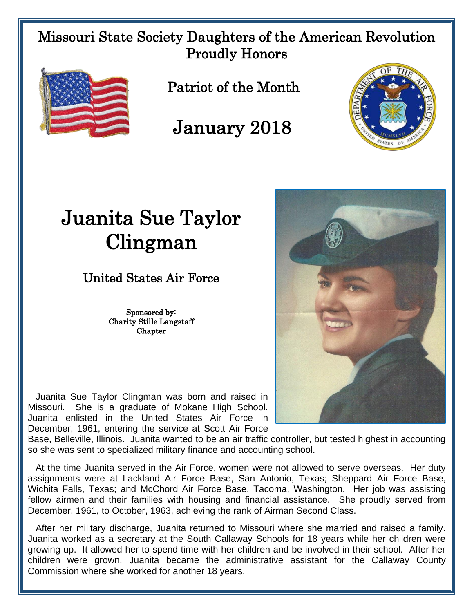## Missouri State Society Daughters of the American Revolution Proudly Honors



Patriot of the Month





## Juanita Sue Taylor Clingman

United States Air Force

Sponsored by: Charity Stille Langstaff **Chapter** 

 Juanita Sue Taylor Clingman was born and raised in Missouri. She is a graduate of Mokane High School. Juanita enlisted in the United States Air Force in December, 1961, entering the service at Scott Air Force

Base, Belleville, Illinois. Juanita wanted to be an air traffic controller, but tested highest in accounting so she was sent to specialized military finance and accounting school.

 At the time Juanita served in the Air Force, women were not allowed to serve overseas. Her duty assignments were at Lackland Air Force Base, San Antonio, Texas; Sheppard Air Force Base, Wichita Falls, Texas; and McChord Air Force Base, Tacoma, Washington. Her job was assisting fellow airmen and their families with housing and financial assistance. She proudly served from December, 1961, to October, 1963, achieving the rank of Airman Second Class.

 After her military discharge, Juanita returned to Missouri where she married and raised a family. Juanita worked as a secretary at the South Callaway Schools for 18 years while her children were growing up. It allowed her to spend time with her children and be involved in their school. After her children were grown, Juanita became the administrative assistant for the Callaway County Commission where she worked for another 18 years.